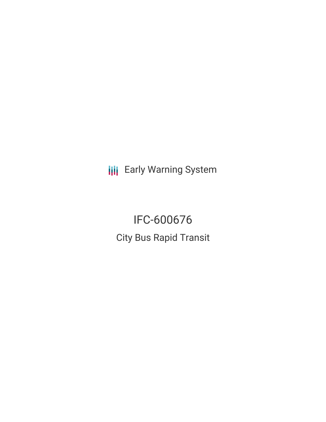**III** Early Warning System

IFC-600676 City Bus Rapid Transit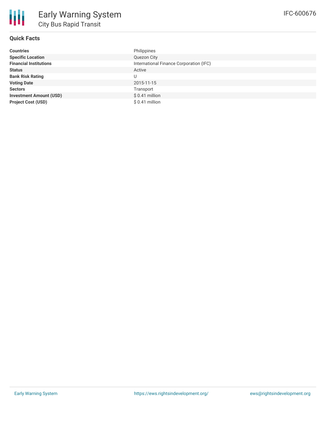## **Quick Facts**

| <b>Countries</b>               | Philippines                             |
|--------------------------------|-----------------------------------------|
| <b>Specific Location</b>       | Quezon City                             |
| <b>Financial Institutions</b>  | International Finance Corporation (IFC) |
| <b>Status</b>                  | Active                                  |
| <b>Bank Risk Rating</b>        | U                                       |
| <b>Voting Date</b>             | 2015-11-15                              |
| <b>Sectors</b>                 | Transport                               |
| <b>Investment Amount (USD)</b> | $$0.41$ million                         |
| <b>Project Cost (USD)</b>      | $$0.41$ million                         |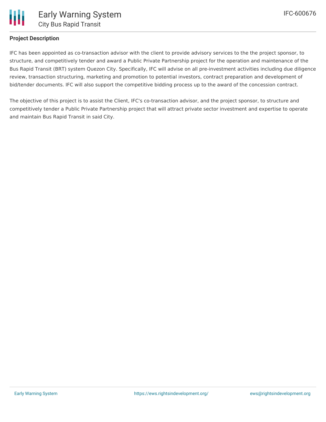

## **Project Description**

IFC has been appointed as co-transaction advisor with the client to provide advisory services to the the project sponsor, to structure, and competitively tender and award a Public Private Partnership project for the operation and maintenance of the Bus Rapid Transit (BRT) system Quezon City. Specifically, IFC will advise on all pre-investment activities including due diligence review, transaction structuring, marketing and promotion to potential investors, contract preparation and development of bid/tender documents. IFC will also support the competitive bidding process up to the award of the concession contract.

The objective of this project is to assist the Client, IFC's co-transaction advisor, and the project sponsor, to structure and competitively tender a Public Private Partnership project that will attract private sector investment and expertise to operate and maintain Bus Rapid Transit in said City.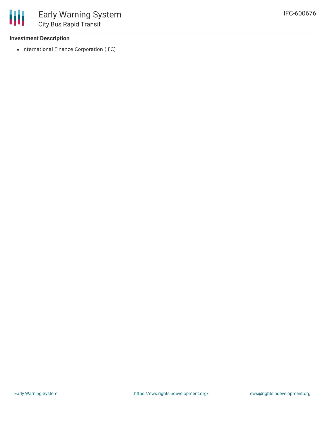## **Investment Description**

冊

• International Finance Corporation (IFC)